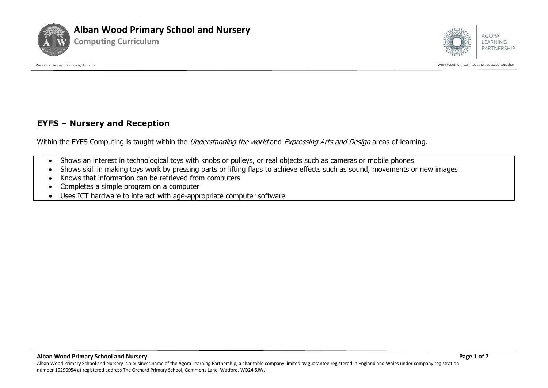



We value: Respect, Kindness, Ambition and the succeed together and together and together, learn together, learn together, learn together, learn together, learn together, learn together, succeed together

#### **EYFS – Nursery and Reception**

Within the EYFS Computing is taught within the *Understanding the world* and *Expressing Arts and Design* areas of learning.

- Shows an interest in technological toys with knobs or pulleys, or real objects such as cameras or mobile phones
- Shows skill in making toys work by pressing parts or lifting flaps to achieve effects such as sound, movements or new images
- Knows that information can be retrieved from computers
- Completes a simple program on a computer
- Uses ICT hardware to interact with age-appropriate computer software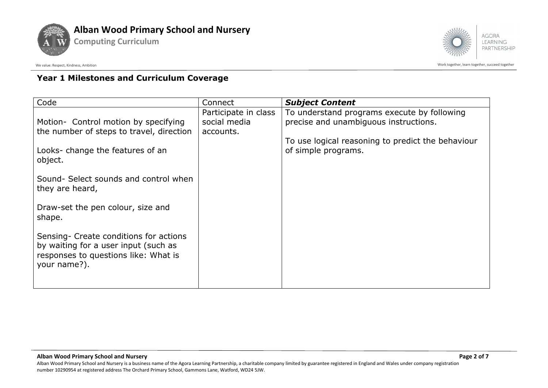



We value: Respect, Kindness, Ambition controlled to a succeed together acceed together succeed together succeed together

# **Year 1 Milestones and Curriculum Coverage**

**Computing Curriculum**

| Code                                                                                                                                   | Connect                                           | <b>Subject Content</b>                                                                                                                                           |
|----------------------------------------------------------------------------------------------------------------------------------------|---------------------------------------------------|------------------------------------------------------------------------------------------------------------------------------------------------------------------|
| Motion- Control motion by specifying<br>the number of steps to travel, direction<br>Looks-change the features of an<br>object.         | Participate in class<br>social media<br>accounts. | To understand programs execute by following<br>precise and unambiguous instructions.<br>To use logical reasoning to predict the behaviour<br>of simple programs. |
| Sound- Select sounds and control when<br>they are heard,                                                                               |                                                   |                                                                                                                                                                  |
| Draw-set the pen colour, size and<br>shape.                                                                                            |                                                   |                                                                                                                                                                  |
| Sensing- Create conditions for actions<br>by waiting for a user input (such as<br>responses to questions like: What is<br>your name?). |                                                   |                                                                                                                                                                  |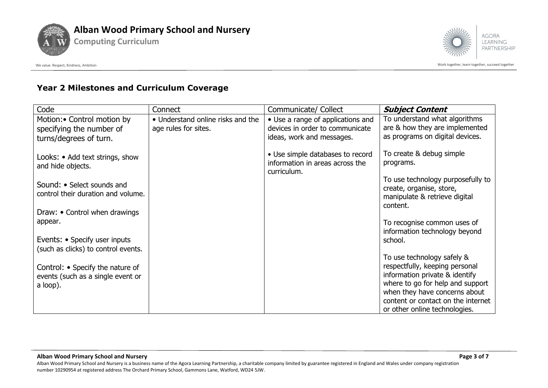







## **Year 2 Milestones and Curriculum Coverage**

| Code                                                             | Connect                           | Communicate/ Collect                                                               | <b>Subject Content</b>                                                                                     |
|------------------------------------------------------------------|-----------------------------------|------------------------------------------------------------------------------------|------------------------------------------------------------------------------------------------------------|
| Motion: • Control motion by                                      | • Understand online risks and the | • Use a range of applications and                                                  | To understand what algorithms                                                                              |
| specifying the number of                                         | age rules for sites.              | devices in order to communicate                                                    | are & how they are implemented                                                                             |
| turns/degrees of turn.                                           |                                   | ideas, work and messages.                                                          | as programs on digital devices.                                                                            |
| Looks: • Add text strings, show<br>and hide objects.             |                                   | • Use simple databases to record<br>information in areas across the<br>curriculum. | To create & debug simple<br>programs.                                                                      |
| Sound: • Select sounds and<br>control their duration and volume. |                                   |                                                                                    | To use technology purposefully to<br>create, organise, store,<br>manipulate & retrieve digital<br>content. |
| Draw: • Control when drawings                                    |                                   |                                                                                    |                                                                                                            |
| appear.                                                          |                                   |                                                                                    | To recognise common uses of<br>information technology beyond                                               |
| Events: • Specify user inputs                                    |                                   |                                                                                    | school.                                                                                                    |
| (such as clicks) to control events.                              |                                   |                                                                                    | To use technology safely &                                                                                 |
| Control: • Specify the nature of                                 |                                   |                                                                                    | respectfully, keeping personal                                                                             |
| events (such as a single event or                                |                                   |                                                                                    | information private & identify                                                                             |
| a loop).                                                         |                                   |                                                                                    | where to go for help and support                                                                           |
|                                                                  |                                   |                                                                                    | when they have concerns about                                                                              |
|                                                                  |                                   |                                                                                    | content or contact on the internet                                                                         |
|                                                                  |                                   |                                                                                    | or other online technologies.                                                                              |

**Alban Wood Primary School and Nursery Page 3 of 7**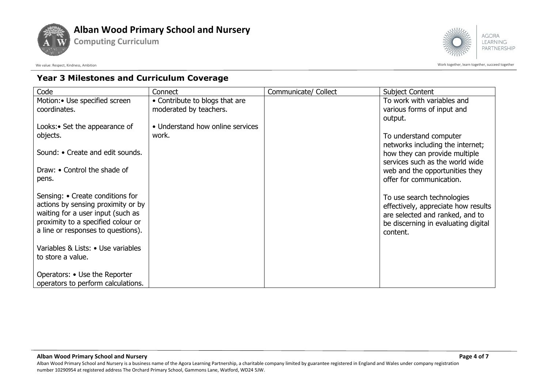





**LEARNING** PARTNERSHIP

We value: Respect, Kindness, Ambition controlled to a succeed together acceed together succeed together succeed together

## **Year 3 Milestones and Curriculum Coverage**

| Code                               | Connect                          | Communicate/ Collect | <b>Subject Content</b>                          |
|------------------------------------|----------------------------------|----------------------|-------------------------------------------------|
| Motion: • Use specified screen     | • Contribute to blogs that are   |                      | To work with variables and                      |
| coordinates.                       | moderated by teachers.           |                      | various forms of input and                      |
|                                    |                                  |                      | output.                                         |
| Looks: • Set the appearance of     | • Understand how online services |                      |                                                 |
| objects.                           | work.                            |                      | To understand computer                          |
|                                    |                                  |                      | networks including the internet;                |
| Sound: • Create and edit sounds.   |                                  |                      | how they can provide multiple                   |
|                                    |                                  |                      | services such as the world wide                 |
| Draw: • Control the shade of       |                                  |                      | web and the opportunities they                  |
| pens.                              |                                  |                      | offer for communication.                        |
| Sensing: • Create conditions for   |                                  |                      |                                                 |
| actions by sensing proximity or by |                                  |                      | To use search technologies                      |
| waiting for a user input (such as  |                                  |                      | effectively, appreciate how results             |
| proximity to a specified colour or |                                  |                      | are selected and ranked, and to                 |
| a line or responses to questions). |                                  |                      | be discerning in evaluating digital<br>content. |
|                                    |                                  |                      |                                                 |
| Variables & Lists: • Use variables |                                  |                      |                                                 |
| to store a value.                  |                                  |                      |                                                 |
|                                    |                                  |                      |                                                 |
| Operators: • Use the Reporter      |                                  |                      |                                                 |
| operators to perform calculations. |                                  |                      |                                                 |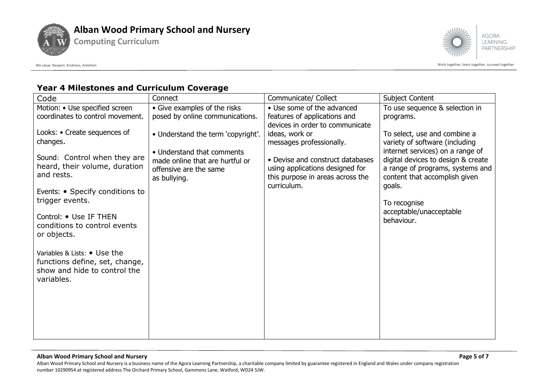



We value: Respect, Kindness, Ambition controlled to a succeed together acceed together succeed together succeed together

## **Year 4 Milestones and Curriculum Coverage**

**Computing Curriculum**

| Code                                                                                                         | Connect                                                                                                 | Communicate/ Collect                                                                                                   | <b>Subject Content</b>                                                                                                                                |
|--------------------------------------------------------------------------------------------------------------|---------------------------------------------------------------------------------------------------------|------------------------------------------------------------------------------------------------------------------------|-------------------------------------------------------------------------------------------------------------------------------------------------------|
| Motion: • Use specified screen                                                                               | • Give examples of the risks                                                                            | • Use some of the advanced                                                                                             | To use sequence & selection in                                                                                                                        |
| coordinates to control movement.                                                                             | posed by online communications.                                                                         | features of applications and                                                                                           | programs.                                                                                                                                             |
| Looks: • Create sequences of<br>changes.                                                                     | • Understand the term 'copyright'.                                                                      | devices in order to communicate<br>ideas, work or<br>messages professionally.                                          | To select, use and combine a<br>variety of software (including                                                                                        |
| Sound: Control when they are<br>heard, their volume, duration<br>and rests.                                  | • Understand that comments<br>made online that are hurtful or<br>offensive are the same<br>as bullying. | • Devise and construct databases<br>using applications designed for<br>this purpose in areas across the<br>curriculum. | internet services) on a range of<br>digital devices to design & create<br>a range of programs, systems and<br>content that accomplish given<br>goals. |
| Events: • Specify conditions to<br>trigger events.                                                           |                                                                                                         |                                                                                                                        | To recognise                                                                                                                                          |
| Control: • Use IF THEN<br>conditions to control events<br>or objects.                                        |                                                                                                         |                                                                                                                        | acceptable/unacceptable<br>behaviour.                                                                                                                 |
| Variables & Lists: • Use the<br>functions define, set, change,<br>show and hide to control the<br>variables. |                                                                                                         |                                                                                                                        |                                                                                                                                                       |
|                                                                                                              |                                                                                                         |                                                                                                                        |                                                                                                                                                       |

#### **Alban Wood Primary School and Nursery Page 5 of 7**

Alban Wood Primary School and Nursery is a business name of the Agora Learning Partnership, a charitable company limited by guarantee registered in England and Wales under company registration number 10290954 at registered address The Orchard Primary School, Gammons Lane, Watford, WD24 5JW.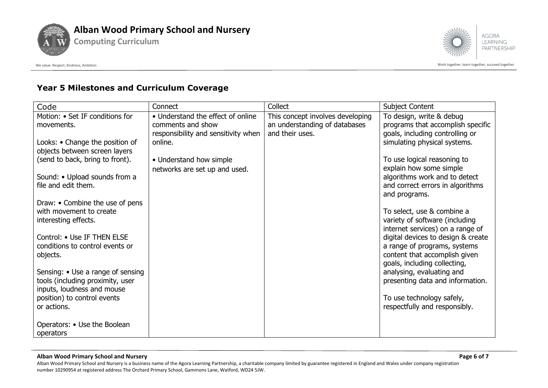



## **Year 5 Milestones and Curriculum Coverage**

**Computing Curriculum**

| Code                                                           | Connect                                        | Collect                          | <b>Subject Content</b>                                          |
|----------------------------------------------------------------|------------------------------------------------|----------------------------------|-----------------------------------------------------------------|
| Motion: • Set IF conditions for                                | • Understand the effect of online              | This concept involves developing | To design, write & debug                                        |
| movements.                                                     | comments and show                              | an understanding of databases    | programs that accomplish specific                               |
| Looks: • Change the position of                                | responsibility and sensitivity when<br>online. | and their uses.                  | goals, including controlling or<br>simulating physical systems. |
| objects between screen layers                                  |                                                |                                  |                                                                 |
| (send to back, bring to front).                                | • Understand how simple                        |                                  | To use logical reasoning to                                     |
|                                                                | networks are set up and used.                  |                                  | explain how some simple                                         |
| Sound: • Upload sounds from a                                  |                                                |                                  | algorithms work and to detect                                   |
| file and edit them.                                            |                                                |                                  | and correct errors in algorithms                                |
| Draw: • Combine the use of pens                                |                                                |                                  | and programs.                                                   |
| with movement to create                                        |                                                |                                  | To select, use & combine a                                      |
| interesting effects.                                           |                                                |                                  | variety of software (including                                  |
|                                                                |                                                |                                  | internet services) on a range of                                |
| Control: • Use IF THEN ELSE<br>conditions to control events or |                                                |                                  | digital devices to design & create                              |
| objects.                                                       |                                                |                                  | a range of programs, systems<br>content that accomplish given   |
|                                                                |                                                |                                  | goals, including collecting,                                    |
| Sensing: • Use a range of sensing                              |                                                |                                  | analysing, evaluating and                                       |
| tools (including proximity, user                               |                                                |                                  | presenting data and information.                                |
| inputs, loudness and mouse                                     |                                                |                                  |                                                                 |
| position) to control events<br>or actions.                     |                                                |                                  | To use technology safely,<br>respectfully and responsibly.      |
|                                                                |                                                |                                  |                                                                 |
| Operators: • Use the Boolean                                   |                                                |                                  |                                                                 |
| operators                                                      |                                                |                                  |                                                                 |

#### **Alban Wood Primary School and Nursery Page 6 of 7**

Alban Wood Primary School and Nursery is a business name of the Agora Learning Partnership, a charitable company limited by guarantee registered in England and Wales under company registration number 10290954 at registered address The Orchard Primary School, Gammons Lane, Watford, WD24 5JW.